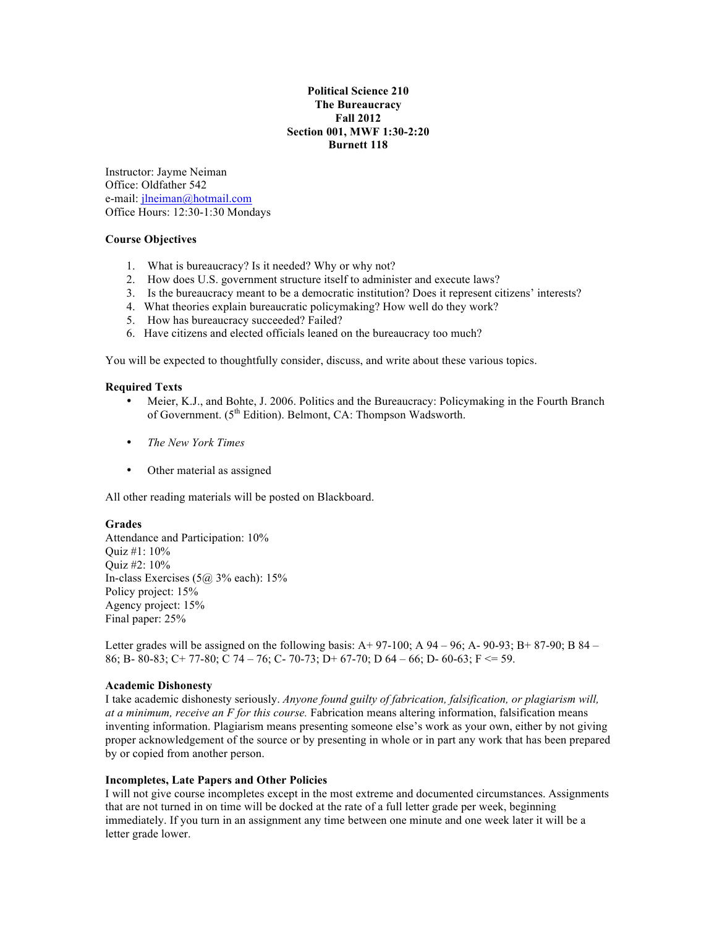# **Political Science 210 The Bureaucracy Fall 2012 Section 001, MWF 1:30-2:20 Burnett 118**

Instructor: Jayme Neiman Office: Oldfather 542 e-mail: jlneiman@hotmail.com Office Hours: 12:30-1:30 Mondays

## **Course Objectives**

- 1. What is bureaucracy? Is it needed? Why or why not?
- 2. How does U.S. government structure itself to administer and execute laws?
- 3. Is the bureaucracy meant to be a democratic institution? Does it represent citizens' interests?
- 4. What theories explain bureaucratic policymaking? How well do they work?
- 5. How has bureaucracy succeeded? Failed?
- 6. Have citizens and elected officials leaned on the bureaucracy too much?

You will be expected to thoughtfully consider, discuss, and write about these various topics.

### **Required Texts**

- Meier, K.J., and Bohte, J. 2006. Politics and the Bureaucracy: Policymaking in the Fourth Branch of Government.  $(5<sup>th</sup> Edition)$ . Belmont, CA: Thompson Wadsworth.
- *The New York Times*
- Other material as assigned

All other reading materials will be posted on Blackboard.

### **Grades**

Attendance and Participation: 10% Quiz #1: 10% Quiz #2: 10% In-class Exercises  $(5a)$  3% each): 15% Policy project: 15% Agency project: 15% Final paper: 25%

Letter grades will be assigned on the following basis:  $A+97-100$ ; A  $94-96$ ; A  $-90-93$ ; B  $+87-90$ ; B  $84-$ 86; B- 80-83; C+ 77-80; C 74 – 76; C- 70-73; D+ 67-70; D 64 – 66; D- 60-63; F <= 59.

### **Academic Dishonesty**

I take academic dishonesty seriously. *Anyone found guilty of fabrication, falsification, or plagiarism will, at a minimum, receive an F for this course.* Fabrication means altering information, falsification means inventing information. Plagiarism means presenting someone else's work as your own, either by not giving proper acknowledgement of the source or by presenting in whole or in part any work that has been prepared by or copied from another person.

## **Incompletes, Late Papers and Other Policies**

I will not give course incompletes except in the most extreme and documented circumstances. Assignments that are not turned in on time will be docked at the rate of a full letter grade per week, beginning immediately. If you turn in an assignment any time between one minute and one week later it will be a letter grade lower.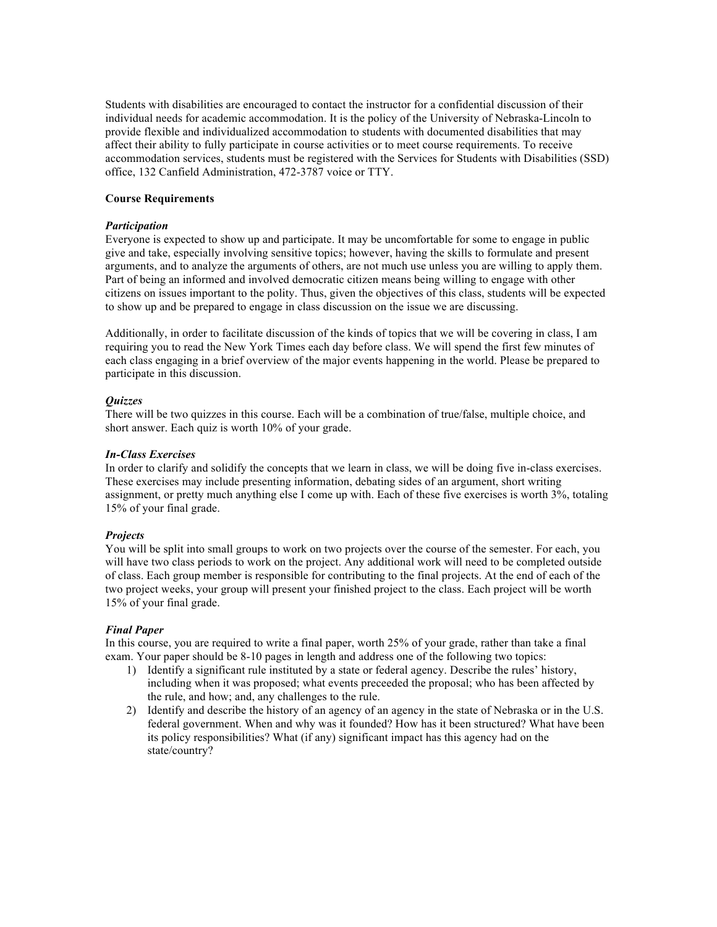Students with disabilities are encouraged to contact the instructor for a confidential discussion of their individual needs for academic accommodation. It is the policy of the University of Nebraska-Lincoln to provide flexible and individualized accommodation to students with documented disabilities that may affect their ability to fully participate in course activities or to meet course requirements. To receive accommodation services, students must be registered with the Services for Students with Disabilities (SSD) office, 132 Canfield Administration, 472-3787 voice or TTY.

## **Course Requirements**

## *Participation*

Everyone is expected to show up and participate. It may be uncomfortable for some to engage in public give and take, especially involving sensitive topics; however, having the skills to formulate and present arguments, and to analyze the arguments of others, are not much use unless you are willing to apply them. Part of being an informed and involved democratic citizen means being willing to engage with other citizens on issues important to the polity. Thus, given the objectives of this class, students will be expected to show up and be prepared to engage in class discussion on the issue we are discussing.

Additionally, in order to facilitate discussion of the kinds of topics that we will be covering in class, I am requiring you to read the New York Times each day before class. We will spend the first few minutes of each class engaging in a brief overview of the major events happening in the world. Please be prepared to participate in this discussion.

## *Quizzes*

There will be two quizzes in this course. Each will be a combination of true/false, multiple choice, and short answer. Each quiz is worth 10% of your grade.

## *In-Class Exercises*

In order to clarify and solidify the concepts that we learn in class, we will be doing five in-class exercises. These exercises may include presenting information, debating sides of an argument, short writing assignment, or pretty much anything else I come up with. Each of these five exercises is worth 3%, totaling 15% of your final grade.

### *Projects*

You will be split into small groups to work on two projects over the course of the semester. For each, you will have two class periods to work on the project. Any additional work will need to be completed outside of class. Each group member is responsible for contributing to the final projects. At the end of each of the two project weeks, your group will present your finished project to the class. Each project will be worth 15% of your final grade.

### *Final Paper*

In this course, you are required to write a final paper, worth 25% of your grade, rather than take a final exam. Your paper should be 8-10 pages in length and address one of the following two topics:

- 1) Identify a significant rule instituted by a state or federal agency. Describe the rules' history, including when it was proposed; what events preceeded the proposal; who has been affected by the rule, and how; and, any challenges to the rule.
- 2) Identify and describe the history of an agency of an agency in the state of Nebraska or in the U.S. federal government. When and why was it founded? How has it been structured? What have been its policy responsibilities? What (if any) significant impact has this agency had on the state/country?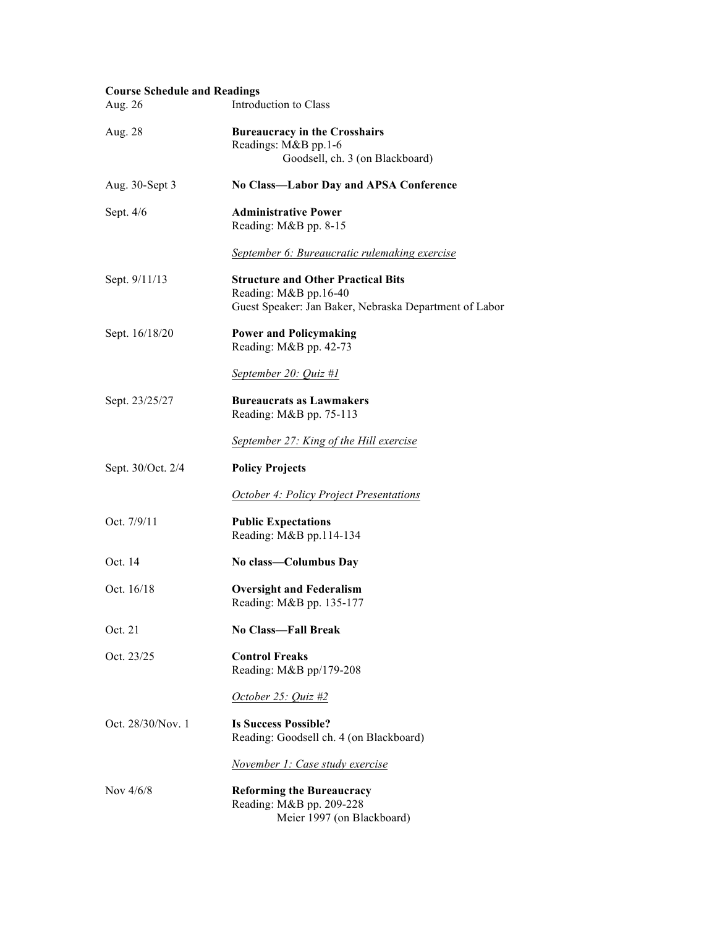| <b>Course Schedule and Readings</b> |                                                                                                                              |
|-------------------------------------|------------------------------------------------------------------------------------------------------------------------------|
| Aug. 26                             | Introduction to Class                                                                                                        |
| Aug. 28                             | <b>Bureaucracy in the Crosshairs</b><br>Readings: M&B pp.1-6<br>Goodsell, ch. 3 (on Blackboard)                              |
| Aug. 30-Sept 3                      | No Class-Labor Day and APSA Conference                                                                                       |
| Sept. 4/6                           | <b>Administrative Power</b><br>Reading: M&B pp. 8-15                                                                         |
|                                     | September 6: Bureaucratic rulemaking exercise                                                                                |
| Sept. 9/11/13                       | <b>Structure and Other Practical Bits</b><br>Reading: M&B pp.16-40<br>Guest Speaker: Jan Baker, Nebraska Department of Labor |
| Sept. 16/18/20                      | <b>Power and Policymaking</b><br>Reading: M&B pp. 42-73                                                                      |
|                                     | September 20: Quiz #1                                                                                                        |
| Sept. 23/25/27                      | <b>Bureaucrats as Lawmakers</b><br>Reading: M&B pp. 75-113                                                                   |
|                                     | September 27: King of the Hill exercise                                                                                      |
| Sept. 30/Oct. 2/4                   | <b>Policy Projects</b>                                                                                                       |
|                                     | <b>October 4: Policy Project Presentations</b>                                                                               |
| Oct. 7/9/11                         | <b>Public Expectations</b><br>Reading: M&B pp.114-134                                                                        |
| Oct. 14                             | No class-Columbus Day                                                                                                        |
| Oct. 16/18                          | <b>Oversight and Federalism</b><br>Reading: M&B pp. 135-177                                                                  |
| Oct. 21                             | <b>No Class—Fall Break</b>                                                                                                   |
| Oct. 23/25                          | <b>Control Freaks</b><br>Reading: M&B pp/179-208                                                                             |
|                                     | October 25: Quiz #2                                                                                                          |
| Oct. 28/30/Nov. 1                   | <b>Is Success Possible?</b><br>Reading: Goodsell ch. 4 (on Blackboard)                                                       |
|                                     | November 1: Case study exercise                                                                                              |
| Nov $4/6/8$                         | <b>Reforming the Bureaucracy</b><br>Reading: M&B pp. 209-228<br>Meier 1997 (on Blackboard)                                   |